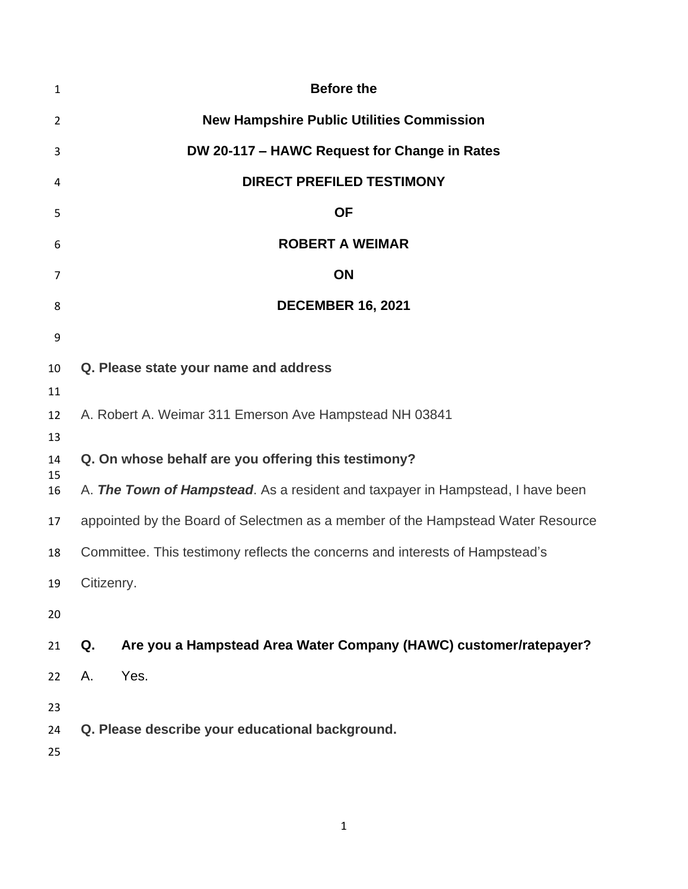| 1                    | <b>Before the</b>                                                               |  |  |
|----------------------|---------------------------------------------------------------------------------|--|--|
| $\overline{2}$       | <b>New Hampshire Public Utilities Commission</b>                                |  |  |
| 3                    | DW 20-117 - HAWC Request for Change in Rates                                    |  |  |
| 4                    | <b>DIRECT PREFILED TESTIMONY</b>                                                |  |  |
| 5                    | <b>OF</b>                                                                       |  |  |
| 6                    | <b>ROBERT A WEIMAR</b>                                                          |  |  |
| 7                    | ON                                                                              |  |  |
| 8                    | <b>DECEMBER 16, 2021</b>                                                        |  |  |
| 9                    |                                                                                 |  |  |
| 10                   | Q. Please state your name and address                                           |  |  |
| 11                   |                                                                                 |  |  |
| 12                   | A. Robert A. Weimar 311 Emerson Ave Hampstead NH 03841                          |  |  |
| 13<br>14<br>15<br>16 | Q. On whose behalf are you offering this testimony?                             |  |  |
|                      | A. The Town of Hampstead. As a resident and taxpayer in Hampstead, I have been  |  |  |
| 17                   | appointed by the Board of Selectmen as a member of the Hampstead Water Resource |  |  |
| 18                   | Committee. This testimony reflects the concerns and interests of Hampstead's    |  |  |
| 19                   | Citizenry.                                                                      |  |  |
| 20                   |                                                                                 |  |  |
| 21                   | Are you a Hampstead Area Water Company (HAWC) customer/ratepayer?<br>Q.         |  |  |
| 22                   | Yes.<br>Α.                                                                      |  |  |
|                      |                                                                                 |  |  |
| 23<br>24             | Q. Please describe your educational background.                                 |  |  |
| 25                   |                                                                                 |  |  |
|                      |                                                                                 |  |  |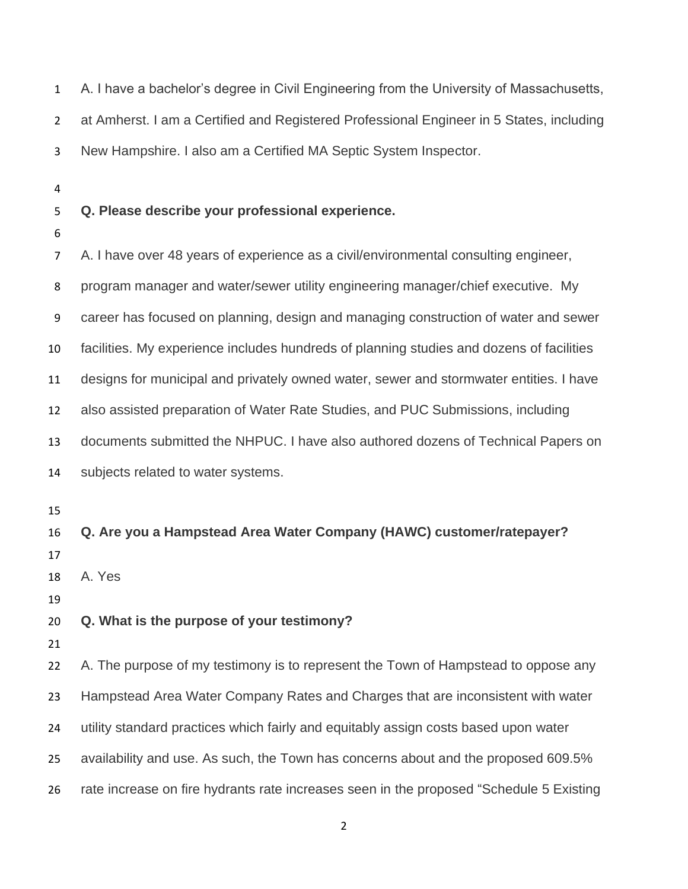A. I have a bachelor's degree in Civil Engineering from the University of Massachusetts, at Amherst. I am a Certified and Registered Professional Engineer in 5 States, including New Hampshire. I also am a Certified MA Septic System Inspector.

## **Q. Please describe your professional experience.**

 A. I have over 48 years of experience as a civil/environmental consulting engineer, program manager and water/sewer utility engineering manager/chief executive. My career has focused on planning, design and managing construction of water and sewer facilities. My experience includes hundreds of planning studies and dozens of facilities designs for municipal and privately owned water, sewer and stormwater entities. I have also assisted preparation of Water Rate Studies, and PUC Submissions, including documents submitted the NHPUC. I have also authored dozens of Technical Papers on subjects related to water systems. **Q. Are you a Hampstead Area Water Company (HAWC) customer/ratepayer?** A. Yes **Q. What is the purpose of your testimony?** 22 A. The purpose of my testimony is to represent the Town of Hampstead to oppose any Hampstead Area Water Company Rates and Charges that are inconsistent with water utility standard practices which fairly and equitably assign costs based upon water availability and use. As such, the Town has concerns about and the proposed 609.5% rate increase on fire hydrants rate increases seen in the proposed "Schedule 5 Existing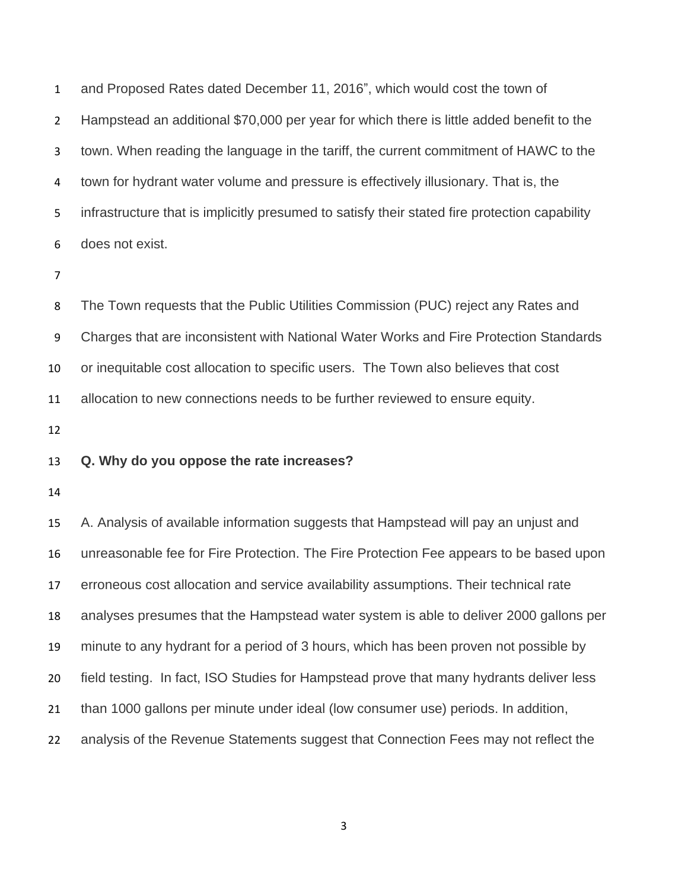and Proposed Rates dated December 11, 2016", which would cost the town of Hampstead an additional \$70,000 per year for which there is little added benefit to the town. When reading the language in the tariff, the current commitment of HAWC to the town for hydrant water volume and pressure is effectively illusionary. That is, the infrastructure that is implicitly presumed to satisfy their stated fire protection capability does not exist.

 The Town requests that the Public Utilities Commission (PUC) reject any Rates and Charges that are inconsistent with National Water Works and Fire Protection Standards or inequitable cost allocation to specific users. The Town also believes that cost allocation to new connections needs to be further reviewed to ensure equity.

### **Q. Why do you oppose the rate increases?**

 A. Analysis of available information suggests that Hampstead will pay an unjust and unreasonable fee for Fire Protection. The Fire Protection Fee appears to be based upon erroneous cost allocation and service availability assumptions. Their technical rate analyses presumes that the Hampstead water system is able to deliver 2000 gallons per minute to any hydrant for a period of 3 hours, which has been proven not possible by field testing. In fact, ISO Studies for Hampstead prove that many hydrants deliver less than 1000 gallons per minute under ideal (low consumer use) periods. In addition, analysis of the Revenue Statements suggest that Connection Fees may not reflect the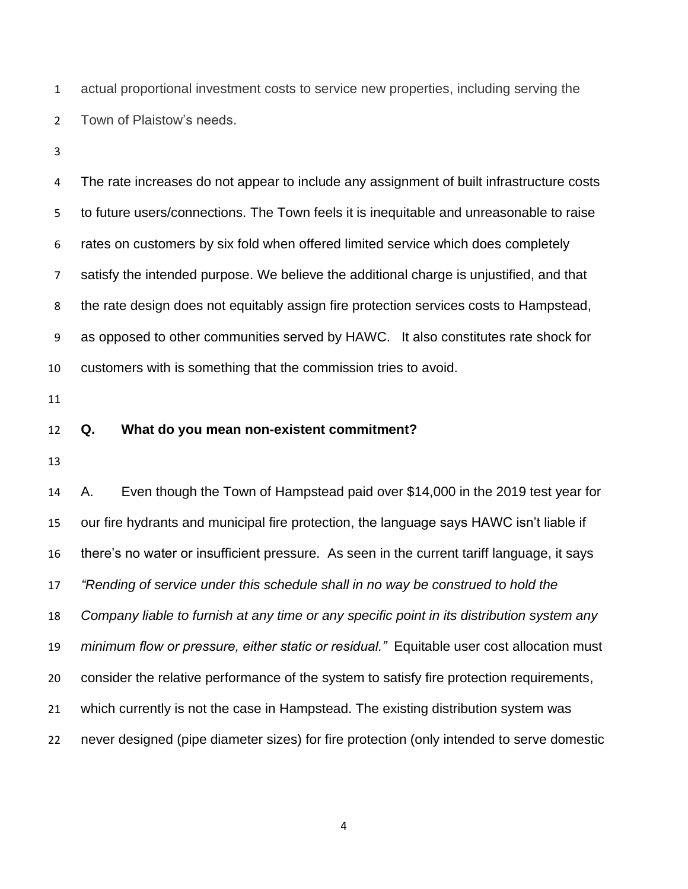actual proportional investment costs to service new properties, including serving the Town of Plaistow's needs.

 The rate increases do not appear to include any assignment of built infrastructure costs to future users/connections. The Town feels it is inequitable and unreasonable to raise rates on customers by six fold when offered limited service which does completely satisfy the intended purpose. We believe the additional charge is unjustified, and that the rate design does not equitably assign fire protection services costs to Hampstead, as opposed to other communities served by HAWC. It also constitutes rate shock for customers with is something that the commission tries to avoid.

#### **Q. What do you mean non-existent commitment?**

 A. Even though the Town of Hampstead paid over \$14,000 in the 2019 test year for our fire hydrants and municipal fire protection, the language says HAWC isn't liable if there's no water or insufficient pressure. As seen in the current tariff language, it says *"Rending of service under this schedule shall in no way be construed to hold the Company liable to furnish at any time or any specific point in its distribution system any minimum flow or pressure, either static or residual."* Equitable user cost allocation must consider the relative performance of the system to satisfy fire protection requirements, which currently is not the case in Hampstead. The existing distribution system was never designed (pipe diameter sizes) for fire protection (only intended to serve domestic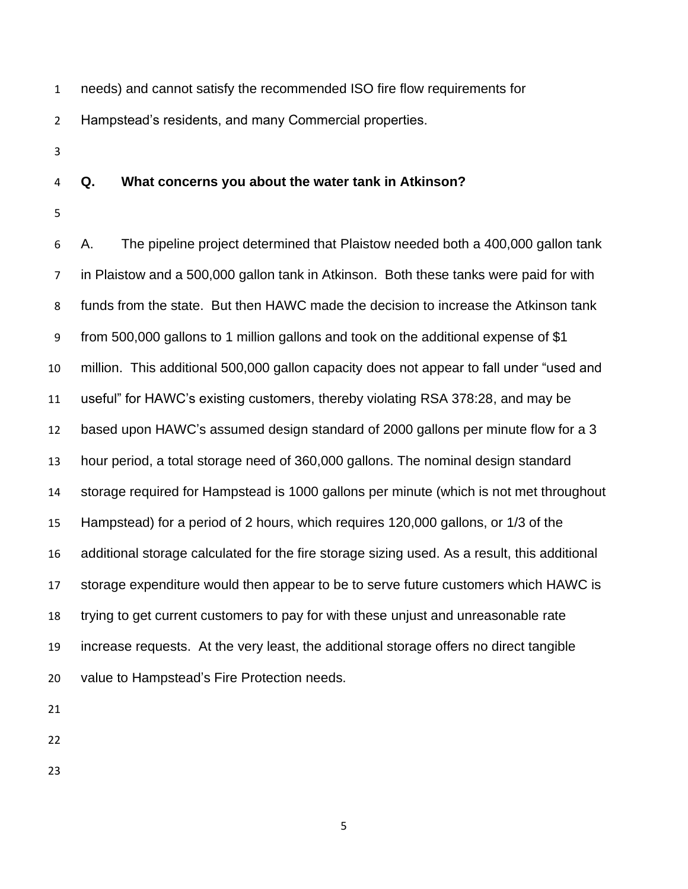- needs) and cannot satisfy the recommended ISO fire flow requirements for Hampstead's residents, and many Commercial properties.
- 

#### **Q. What concerns you about the water tank in Atkinson?**

 A. The pipeline project determined that Plaistow needed both a 400,000 gallon tank in Plaistow and a 500,000 gallon tank in Atkinson. Both these tanks were paid for with funds from the state. But then HAWC made the decision to increase the Atkinson tank from 500,000 gallons to 1 million gallons and took on the additional expense of \$1 million. This additional 500,000 gallon capacity does not appear to fall under "used and useful" for HAWC's existing customers, thereby violating RSA 378:28, and may be based upon HAWC's assumed design standard of 2000 gallons per minute flow for a 3 hour period, a total storage need of 360,000 gallons. The nominal design standard storage required for Hampstead is 1000 gallons per minute (which is not met throughout Hampstead) for a period of 2 hours, which requires 120,000 gallons, or 1/3 of the additional storage calculated for the fire storage sizing used. As a result, this additional storage expenditure would then appear to be to serve future customers which HAWC is trying to get current customers to pay for with these unjust and unreasonable rate increase requests. At the very least, the additional storage offers no direct tangible value to Hampstead's Fire Protection needs.

- 
-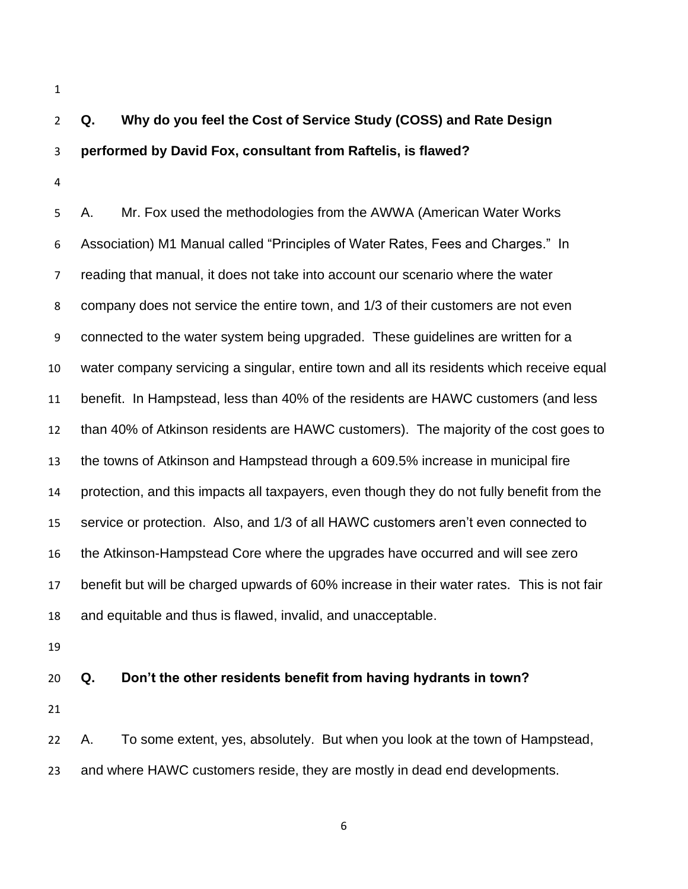# **Q. Why do you feel the Cost of Service Study (COSS) and Rate Design performed by David Fox, consultant from Raftelis, is flawed?**

 A. Mr. Fox used the methodologies from the AWWA (American Water Works Association) M1 Manual called "Principles of Water Rates, Fees and Charges." In reading that manual, it does not take into account our scenario where the water company does not service the entire town, and 1/3 of their customers are not even connected to the water system being upgraded. These guidelines are written for a water company servicing a singular, entire town and all its residents which receive equal benefit. In Hampstead, less than 40% of the residents are HAWC customers (and less than 40% of Atkinson residents are HAWC customers). The majority of the cost goes to the towns of Atkinson and Hampstead through a 609.5% increase in municipal fire protection, and this impacts all taxpayers, even though they do not fully benefit from the service or protection. Also, and 1/3 of all HAWC customers aren't even connected to the Atkinson-Hampstead Core where the upgrades have occurred and will see zero benefit but will be charged upwards of 60% increase in their water rates. This is not fair and equitable and thus is flawed, invalid, and unacceptable.

## **Q. Don't the other residents benefit from having hydrants in town?**

 A. To some extent, yes, absolutely. But when you look at the town of Hampstead, and where HAWC customers reside, they are mostly in dead end developments.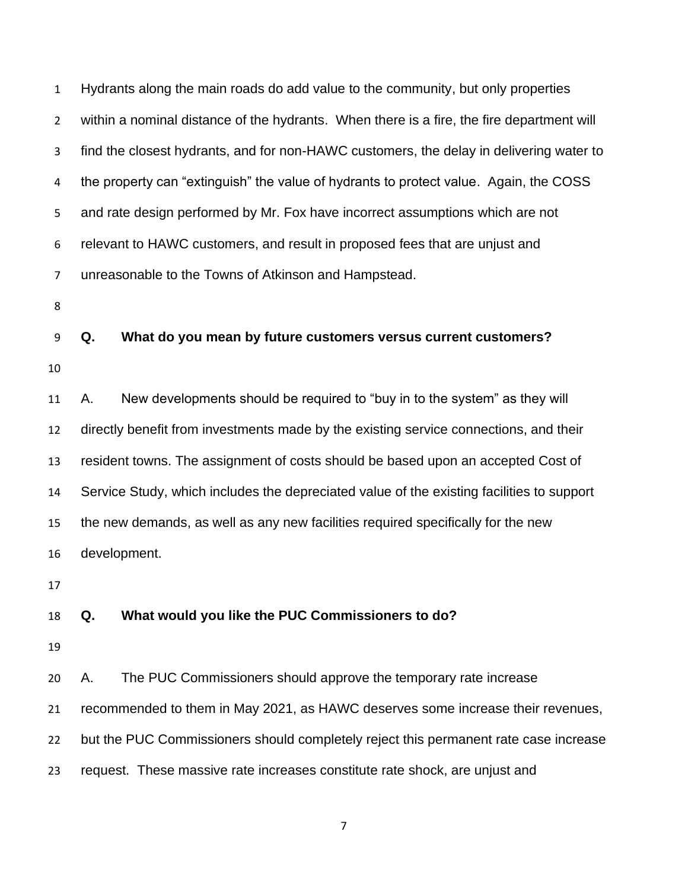| $\mathbf{1}$   | Hydrants along the main roads do add value to the community, but only properties          |  |  |
|----------------|-------------------------------------------------------------------------------------------|--|--|
| $\overline{2}$ | within a nominal distance of the hydrants. When there is a fire, the fire department will |  |  |
| 3              | find the closest hydrants, and for non-HAWC customers, the delay in delivering water to   |  |  |
| 4              | the property can "extinguish" the value of hydrants to protect value. Again, the COSS     |  |  |
| 5              | and rate design performed by Mr. Fox have incorrect assumptions which are not             |  |  |
| 6              | relevant to HAWC customers, and result in proposed fees that are unjust and               |  |  |
| $\overline{7}$ | unreasonable to the Towns of Atkinson and Hampstead.                                      |  |  |
| 8              |                                                                                           |  |  |
| 9              | Q.<br>What do you mean by future customers versus current customers?                      |  |  |
| 10             |                                                                                           |  |  |
| 11             | New developments should be required to "buy in to the system" as they will<br>Α.          |  |  |
| 12             | directly benefit from investments made by the existing service connections, and their     |  |  |
| 13             | resident towns. The assignment of costs should be based upon an accepted Cost of          |  |  |
| 14             | Service Study, which includes the depreciated value of the existing facilities to support |  |  |
| 15             | the new demands, as well as any new facilities required specifically for the new          |  |  |
| 16             | development.                                                                              |  |  |
| 17             |                                                                                           |  |  |
| 18             | What would you like the PUC Commissioners to do?<br>Q.                                    |  |  |
| 19             |                                                                                           |  |  |
| 20             | The PUC Commissioners should approve the temporary rate increase<br>Α.                    |  |  |
| 21             | recommended to them in May 2021, as HAWC deserves some increase their revenues,           |  |  |
| 22             | but the PUC Commissioners should completely reject this permanent rate case increase      |  |  |
| 23             | request. These massive rate increases constitute rate shock, are unjust and               |  |  |